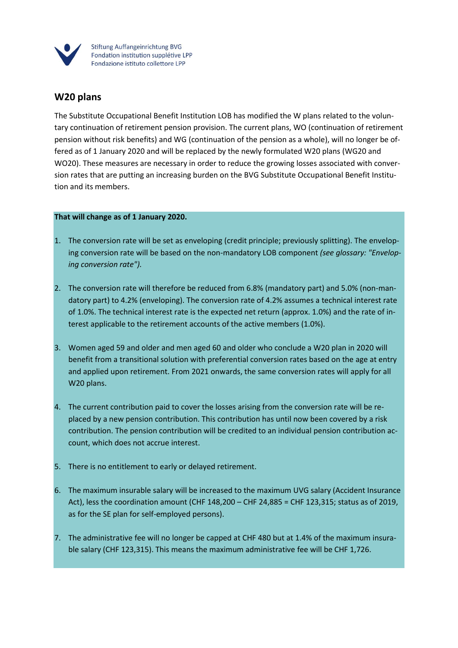

## **W20 plans**

The Substitute Occupational Benefit Institution LOB has modified the W plans related to the voluntary continuation of retirement pension provision. The current plans, WO (continuation of retirement pension without risk benefits) and WG (continuation of the pension as a whole), will no longer be offered as of 1 January 2020 and will be replaced by the newly formulated W20 plans (WG20 and WO20). These measures are necessary in order to reduce the growing losses associated with conversion rates that are putting an increasing burden on the BVG Substitute Occupational Benefit Institution and its members.

## **That will change as of 1 January 2020.**

- 1. The conversion rate will be set as enveloping (credit principle; previously splitting). The enveloping conversion rate will be based on the non-mandatory LOB component *(see glossary: "Enveloping conversion rate").*
- 2. The conversion rate will therefore be reduced from 6.8% (mandatory part) and 5.0% (non-mandatory part) to 4.2% (enveloping). The conversion rate of 4.2% assumes a technical interest rate of 1.0%. The technical interest rate is the expected net return (approx. 1.0%) and the rate of interest applicable to the retirement accounts of the active members (1.0%).
- 3. Women aged 59 and older and men aged 60 and older who conclude a W20 plan in 2020 will benefit from a transitional solution with preferential conversion rates based on the age at entry and applied upon retirement. From 2021 onwards, the same conversion rates will apply for all W20 plans.
- 4. The current contribution paid to cover the losses arising from the conversion rate will be replaced by a new pension contribution. This contribution has until now been covered by a risk contribution. The pension contribution will be credited to an individual pension contribution account, which does not accrue interest.
- 5. There is no entitlement to early or delayed retirement.
- 6. The maximum insurable salary will be increased to the maximum UVG salary (Accident Insurance Act), less the coordination amount (CHF 148,200 – CHF 24,885 = CHF 123,315; status as of 2019, as for the SE plan for self-employed persons).
- 7. The administrative fee will no longer be capped at CHF 480 but at 1.4% of the maximum insurable salary (CHF 123,315). This means the maximum administrative fee will be CHF 1,726.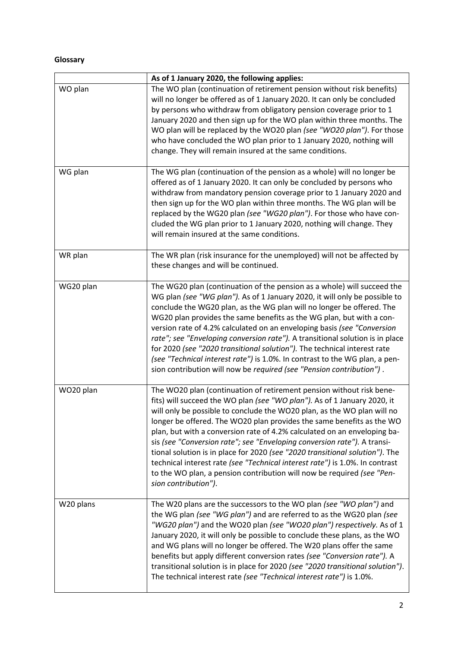## **Glossary**

|           | As of 1 January 2020, the following applies:                                                                                                                                                                                                                                                                                                                                                                                                                                                                                                                                                                                                                                                                                   |
|-----------|--------------------------------------------------------------------------------------------------------------------------------------------------------------------------------------------------------------------------------------------------------------------------------------------------------------------------------------------------------------------------------------------------------------------------------------------------------------------------------------------------------------------------------------------------------------------------------------------------------------------------------------------------------------------------------------------------------------------------------|
| WO plan   | The WO plan (continuation of retirement pension without risk benefits)<br>will no longer be offered as of 1 January 2020. It can only be concluded<br>by persons who withdraw from obligatory pension coverage prior to 1<br>January 2020 and then sign up for the WO plan within three months. The<br>WO plan will be replaced by the WO20 plan (see "WO20 plan"). For those<br>who have concluded the WO plan prior to 1 January 2020, nothing will<br>change. They will remain insured at the same conditions.                                                                                                                                                                                                              |
| WG plan   | The WG plan (continuation of the pension as a whole) will no longer be<br>offered as of 1 January 2020. It can only be concluded by persons who<br>withdraw from mandatory pension coverage prior to 1 January 2020 and<br>then sign up for the WO plan within three months. The WG plan will be<br>replaced by the WG20 plan (see "WG20 plan"). For those who have con-<br>cluded the WG plan prior to 1 January 2020, nothing will change. They<br>will remain insured at the same conditions.                                                                                                                                                                                                                               |
| WR plan   | The WR plan (risk insurance for the unemployed) will not be affected by<br>these changes and will be continued.                                                                                                                                                                                                                                                                                                                                                                                                                                                                                                                                                                                                                |
| WG20 plan | The WG20 plan (continuation of the pension as a whole) will succeed the<br>WG plan (see "WG plan"). As of 1 January 2020, it will only be possible to<br>conclude the WG20 plan, as the WG plan will no longer be offered. The<br>WG20 plan provides the same benefits as the WG plan, but with a con-<br>version rate of 4.2% calculated on an enveloping basis (see "Conversion<br>rate"; see "Enveloping conversion rate"). A transitional solution is in place<br>for 2020 (see "2020 transitional solution"). The technical interest rate<br>(see "Technical interest rate") is 1.0%. In contrast to the WG plan, a pen-<br>sion contribution will now be required (see "Pension contribution").                          |
| WO20 plan | The WO20 plan (continuation of retirement pension without risk bene-<br>fits) will succeed the WO plan (see "WO plan"). As of 1 January 2020, it<br>will only be possible to conclude the WO20 plan, as the WO plan will no<br>longer be offered. The WO20 plan provides the same benefits as the WO<br>plan, but with a conversion rate of 4.2% calculated on an enveloping ba-<br>sis (see "Conversion rate"; see "Enveloping conversion rate"). A transi-<br>tional solution is in place for 2020 (see "2020 transitional solution"). The<br>technical interest rate (see "Technical interest rate") is 1.0%. In contrast<br>to the WO plan, a pension contribution will now be required (see "Pen-<br>sion contribution"). |
| W20 plans | The W20 plans are the successors to the WO plan (see "WO plan") and<br>the WG plan (see "WG plan") and are referred to as the WG20 plan (see<br>"WG20 plan") and the WO20 plan (see "WO20 plan") respectively. As of 1<br>January 2020, it will only be possible to conclude these plans, as the WO<br>and WG plans will no longer be offered. The W20 plans offer the same<br>benefits but apply different conversion rates (see "Conversion rate"). A<br>transitional solution is in place for 2020 (see "2020 transitional solution").<br>The technical interest rate (see "Technical interest rate") is 1.0%.                                                                                                              |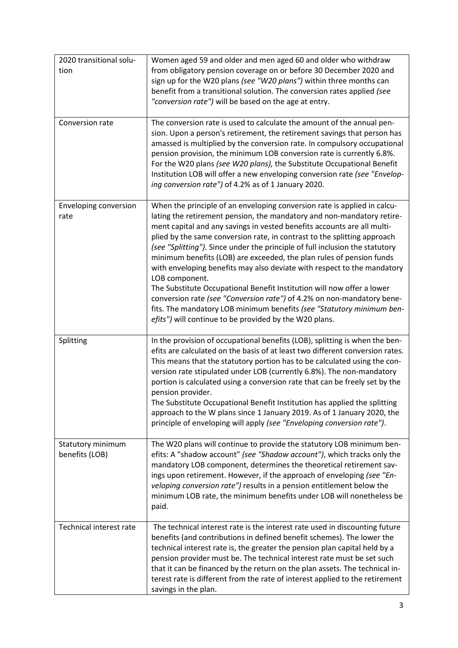| 2020 transitional solu-<br>tion     | Women aged 59 and older and men aged 60 and older who withdraw<br>from obligatory pension coverage on or before 30 December 2020 and<br>sign up for the W20 plans (see "W20 plans") within three months can<br>benefit from a transitional solution. The conversion rates applied (see<br>"conversion rate") will be based on the age at entry.                                                                                                                                                                                                                                                                                                                                                                                                                                                                                                       |
|-------------------------------------|-------------------------------------------------------------------------------------------------------------------------------------------------------------------------------------------------------------------------------------------------------------------------------------------------------------------------------------------------------------------------------------------------------------------------------------------------------------------------------------------------------------------------------------------------------------------------------------------------------------------------------------------------------------------------------------------------------------------------------------------------------------------------------------------------------------------------------------------------------|
| Conversion rate                     | The conversion rate is used to calculate the amount of the annual pen-<br>sion. Upon a person's retirement, the retirement savings that person has<br>amassed is multiplied by the conversion rate. In compulsory occupational<br>pension provision, the minimum LOB conversion rate is currently 6.8%.<br>For the W20 plans (see W20 plans), the Substitute Occupational Benefit<br>Institution LOB will offer a new enveloping conversion rate (see "Envelop-<br>ing conversion rate") of 4.2% as of 1 January 2020.                                                                                                                                                                                                                                                                                                                                |
| Enveloping conversion<br>rate       | When the principle of an enveloping conversion rate is applied in calcu-<br>lating the retirement pension, the mandatory and non-mandatory retire-<br>ment capital and any savings in vested benefits accounts are all multi-<br>plied by the same conversion rate, in contrast to the splitting approach<br>(see "Splitting"). Since under the principle of full inclusion the statutory<br>minimum benefits (LOB) are exceeded, the plan rules of pension funds<br>with enveloping benefits may also deviate with respect to the mandatory<br>LOB component.<br>The Substitute Occupational Benefit Institution will now offer a lower<br>conversion rate (see "Conversion rate") of 4.2% on non-mandatory bene-<br>fits. The mandatory LOB minimum benefits (see "Statutory minimum ben-<br>efits") will continue to be provided by the W20 plans. |
| Splitting                           | In the provision of occupational benefits (LOB), splitting is when the ben-<br>efits are calculated on the basis of at least two different conversion rates.<br>This means that the statutory portion has to be calculated using the con-<br>version rate stipulated under LOB (currently 6.8%). The non-mandatory<br>portion is calculated using a conversion rate that can be freely set by the<br>pension provider.<br>The Substitute Occupational Benefit Institution has applied the splitting<br>approach to the W plans since 1 January 2019. As of 1 January 2020, the<br>principle of enveloping will apply (see "Enveloping conversion rate").                                                                                                                                                                                              |
| Statutory minimum<br>benefits (LOB) | The W20 plans will continue to provide the statutory LOB minimum ben-<br>efits: A "shadow account" (see "Shadow account"), which tracks only the<br>mandatory LOB component, determines the theoretical retirement sav-<br>ings upon retirement. However, if the approach of enveloping (see "En-<br>veloping conversion rate") results in a pension entitlement below the<br>minimum LOB rate, the minimum benefits under LOB will nonetheless be<br>paid.                                                                                                                                                                                                                                                                                                                                                                                           |
| Technical interest rate             | The technical interest rate is the interest rate used in discounting future<br>benefits (and contributions in defined benefit schemes). The lower the<br>technical interest rate is, the greater the pension plan capital held by a<br>pension provider must be. The technical interest rate must be set such<br>that it can be financed by the return on the plan assets. The technical in-<br>terest rate is different from the rate of interest applied to the retirement<br>savings in the plan.                                                                                                                                                                                                                                                                                                                                                  |